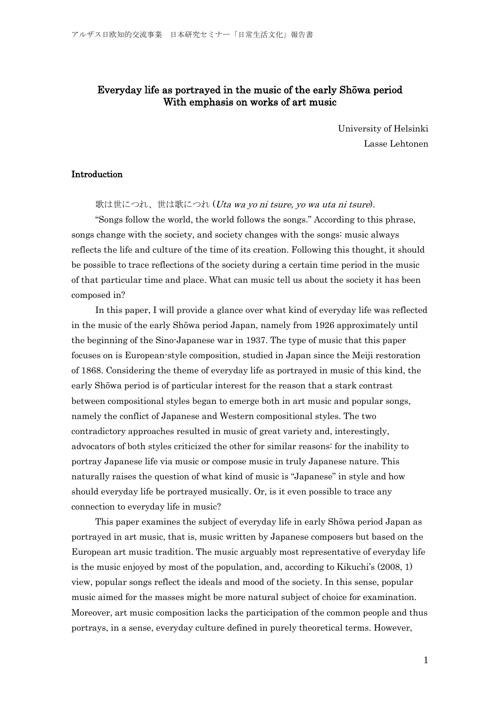# Everyday life as portrayed in the music of the early Shōwa period With emphasis on works of art music

University of Helsinki Lasse Lehtonen

# Introduction

歌は世につれ、世は歌につれ (Uta wa yo ni tsure, yo wa uta ni tsure).

"Songs follow the world, the world follows the songs." According to this phrase, songs change with the society, and society changes with the songs: music always reflects the life and culture of the time of its creation. Following this thought, it should be possible to trace reflections of the society during a certain time period in the music of that particular time and place. What can music tell us about the society it has been composed in?

In this paper, I will provide a glance over what kind of everyday life was reflected in the music of the early Shōwa period Japan, namely from 1926 approximately until the beginning of the Sino-Japanese war in 1937. The type of music that this paper focuses on is European-style composition, studied in Japan since the Meiji restoration of 1868. Considering the theme of everyday life as portrayed in music of this kind, the early Shōwa period is of particular interest for the reason that a stark contrast between compositional styles began to emerge both in art music and popular songs, namely the conflict of Japanese and Western compositional styles. The two contradictory approaches resulted in music of great variety and, interestingly, advocators of both styles criticized the other for similar reasons: for the inability to portray Japanese life via music or compose music in truly Japanese nature. This naturally raises the question of what kind of music is "Japanese" in style and how should everyday life be portrayed musically. Or, is it even possible to trace any connection to everyday life in music?

This paper examines the subject of everyday life in early Shōwa period Japan as portrayed in art music, that is, music written by Japanese composers but based on the European art music tradition. The music arguably most representative of everyday life is the music enjoyed by most of the population, and, according to Kikuchi's (2008, 1) view, popular songs reflect the ideals and mood of the society. In this sense, popular music aimed for the masses might be more natural subject of choice for examination. Moreover, art music composition lacks the participation of the common people and thus portrays, in a sense, everyday culture defined in purely theoretical terms. However,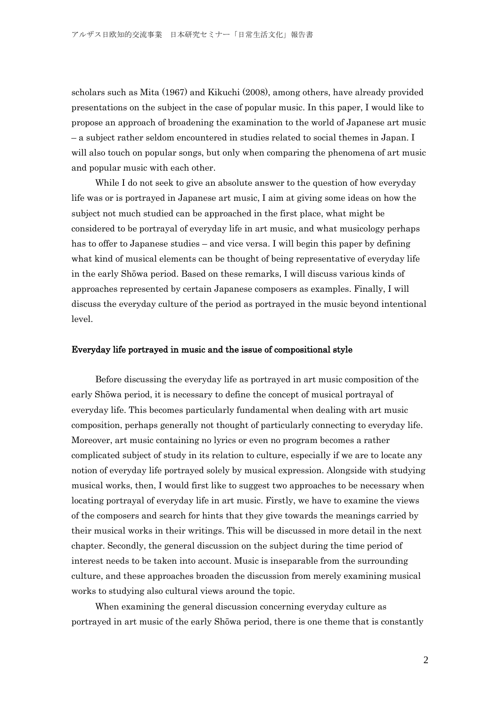scholars such as Mita (1967) and Kikuchi (2008), among others, have already provided presentations on the subject in the case of popular music. In this paper, I would like to propose an approach of broadening the examination to the world of Japanese art music – a subject rather seldom encountered in studies related to social themes in Japan. I will also touch on popular songs, but only when comparing the phenomena of art music and popular music with each other.

While I do not seek to give an absolute answer to the question of how everyday life was or is portrayed in Japanese art music, I aim at giving some ideas on how the subject not much studied can be approached in the first place, what might be considered to be portrayal of everyday life in art music, and what musicology perhaps has to offer to Japanese studies – and vice versa. I will begin this paper by defining what kind of musical elements can be thought of being representative of everyday life in the early Shōwa period. Based on these remarks, I will discuss various kinds of approaches represented by certain Japanese composers as examples. Finally, I will discuss the everyday culture of the period as portrayed in the music beyond intentional level.

## Everyday life portrayed in music and the issue of compositional style

Before discussing the everyday life as portrayed in art music composition of the early Shōwa period, it is necessary to define the concept of musical portrayal of everyday life. This becomes particularly fundamental when dealing with art music composition, perhaps generally not thought of particularly connecting to everyday life. Moreover, art music containing no lyrics or even no program becomes a rather complicated subject of study in its relation to culture, especially if we are to locate any notion of everyday life portrayed solely by musical expression. Alongside with studying musical works, then, I would first like to suggest two approaches to be necessary when locating portrayal of everyday life in art music. Firstly, we have to examine the views of the composers and search for hints that they give towards the meanings carried by their musical works in their writings. This will be discussed in more detail in the next chapter. Secondly, the general discussion on the subject during the time period of interest needs to be taken into account. Music is inseparable from the surrounding culture, and these approaches broaden the discussion from merely examining musical works to studying also cultural views around the topic.

When examining the general discussion concerning everyday culture as portrayed in art music of the early Shōwa period, there is one theme that is constantly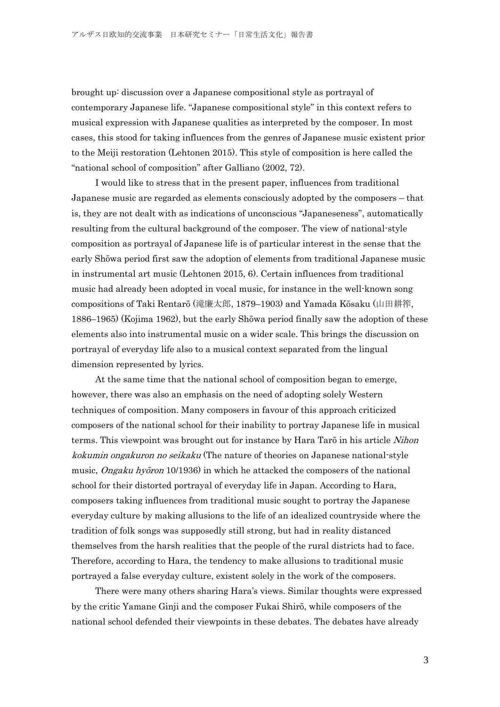brought up: discussion over a Japanese compositional style as portrayal of contemporary Japanese life. "Japanese compositional style" in this context refers to musical expression with Japanese qualities as interpreted by the composer. In most cases, this stood for taking influences from the genres of Japanese music existent prior to the Meiji restoration (Lehtonen 2015). This style of composition is here called the "national school of composition" after Galliano (2002, 72).

I would like to stress that in the present paper, influences from traditional Japanese music are regarded as elements consciously adopted by the composers – that is, they are not dealt with as indications of unconscious "Japaneseness", automatically resulting from the cultural background of the composer. The view of national-style composition as portrayal of Japanese life is of particular interest in the sense that the early Shōwa period first saw the adoption of elements from traditional Japanese music in instrumental art music (Lehtonen 2015, 6). Certain influences from traditional music had already been adopted in vocal music, for instance in the well-known song compositions of Taki Rentarō (滝廉太郎, 1879–1903) and Yamada Kōsaku (山田耕筰, 1886–1965) (Kojima 1962), but the early Shōwa period finally saw the adoption of these elements also into instrumental music on a wider scale. This brings the discussion on portrayal of everyday life also to a musical context separated from the lingual dimension represented by lyrics.

At the same time that the national school of composition began to emerge, however, there was also an emphasis on the need of adopting solely Western techniques of composition. Many composers in favour of this approach criticized composers of the national school for their inability to portray Japanese life in musical terms. This viewpoint was brought out for instance by Hara Taro in his article Nihon kokumin ongakuron no seikaku (The nature of theories on Japanese national-style music, *Ongaku hyōron* 10/1936) in which he attacked the composers of the national school for their distorted portrayal of everyday life in Japan. According to Hara, composers taking influences from traditional music sought to portray the Japanese everyday culture by making allusions to the life of an idealized countryside where the tradition of folk songs was supposedly still strong, but had in reality distanced themselves from the harsh realities that the people of the rural districts had to face. Therefore, according to Hara, the tendency to make allusions to traditional music portrayed a false everyday culture, existent solely in the work of the composers.

There were many others sharing Hara's views. Similar thoughts were expressed by the critic Yamane Ginji and the composer Fukai Shirō, while composers of the national school defended their viewpoints in these debates. The debates have already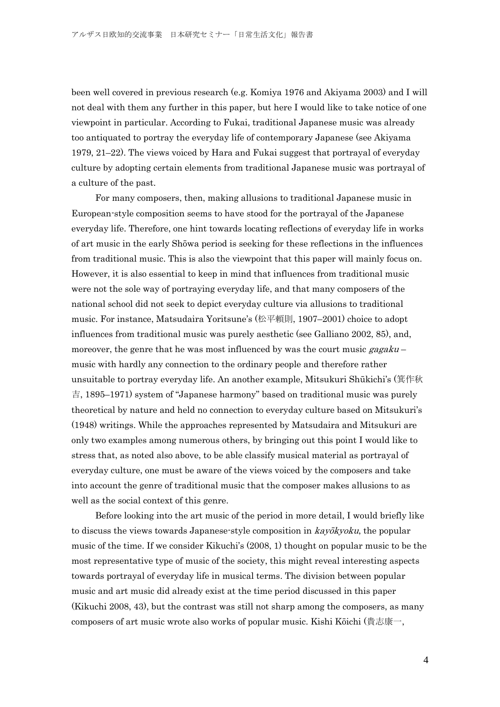been well covered in previous research (e.g. Komiya 1976 and Akiyama 2003) and I will not deal with them any further in this paper, but here I would like to take notice of one viewpoint in particular. According to Fukai, traditional Japanese music was already too antiquated to portray the everyday life of contemporary Japanese (see Akiyama 1979, 21–22). The views voiced by Hara and Fukai suggest that portrayal of everyday culture by adopting certain elements from traditional Japanese music was portrayal of a culture of the past.

For many composers, then, making allusions to traditional Japanese music in European-style composition seems to have stood for the portrayal of the Japanese everyday life. Therefore, one hint towards locating reflections of everyday life in works of art music in the early Shōwa period is seeking for these reflections in the influences from traditional music. This is also the viewpoint that this paper will mainly focus on. However, it is also essential to keep in mind that influences from traditional music were not the sole way of portraying everyday life, and that many composers of the national school did not seek to depict everyday culture via allusions to traditional music. For instance, Matsudaira Yoritsune's (松平頼則, 1907–2001) choice to adopt influences from traditional music was purely aesthetic (see Galliano 2002, 85), and, moreover, the genre that he was most influenced by was the court music  $gggaku$ music with hardly any connection to the ordinary people and therefore rather unsuitable to portray everyday life. An another example, Mitsukuri Shūkichi's (箕作秋 吉, 1895–1971) system of "Japanese harmony" based on traditional music was purely theoretical by nature and held no connection to everyday culture based on Mitsukuri's (1948) writings. While the approaches represented by Matsudaira and Mitsukuri are only two examples among numerous others, by bringing out this point I would like to stress that, as noted also above, to be able classify musical material as portrayal of everyday culture, one must be aware of the views voiced by the composers and take into account the genre of traditional music that the composer makes allusions to as well as the social context of this genre.

Before looking into the art music of the period in more detail, I would briefly like to discuss the views towards Japanese-style composition in kayōkyoku, the popular music of the time. If we consider Kikuchi's (2008, 1) thought on popular music to be the most representative type of music of the society, this might reveal interesting aspects towards portrayal of everyday life in musical terms. The division between popular music and art music did already exist at the time period discussed in this paper (Kikuchi 2008, 43), but the contrast was still not sharp among the composers, as many composers of art music wrote also works of popular music. Kishi Kōichi (貴志康一,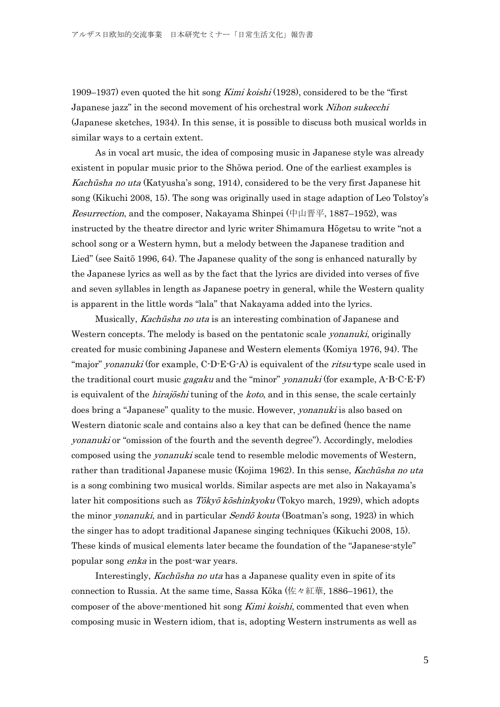1909–1937) even quoted the hit song Kimi koishi (1928), considered to be the "first Japanese jazz" in the second movement of his orchestral work *Nihon sukecchi* (Japanese sketches, 1934). In this sense, it is possible to discuss both musical worlds in similar ways to a certain extent.

As in vocal art music, the idea of composing music in Japanese style was already existent in popular music prior to the Shōwa period. One of the earliest examples is Kachūsha no uta (Katyusha's song, 1914), considered to be the very first Japanese hit song (Kikuchi 2008, 15). The song was originally used in stage adaption of Leo Tolstoy's Resurrection, and the composer, Nakayama Shinpei (中山晋平, 1887–1952), was instructed by the theatre director and lyric writer Shimamura Hōgetsu to write "not a school song or a Western hymn, but a melody between the Japanese tradition and Lied" (see Saitō 1996, 64). The Japanese quality of the song is enhanced naturally by the Japanese lyrics as well as by the fact that the lyrics are divided into verses of five and seven syllables in length as Japanese poetry in general, while the Western quality is apparent in the little words "lala" that Nakayama added into the lyrics.

Musically, Kachūsha no uta is an interesting combination of Japanese and Western concepts. The melody is based on the pentatonic scale *yonanuki*, originally created for music combining Japanese and Western elements (Komiya 1976, 94). The "major" *yonanuki* (for example, C-D-E-G-A) is equivalent of the *ritsu*-type scale used in the traditional court music *gagaku* and the "minor" *yonanuki* (for example,  $A - B - C - E - F$ ) is equivalent of the *hirajoshi* tuning of the *koto*, and in this sense, the scale certainly does bring a "Japanese" quality to the music. However, *yonanuki* is also based on Western diatonic scale and contains also a key that can be defined (hence the name yonanuki or "omission of the fourth and the seventh degree"). Accordingly, melodies composed using the yonanuki scale tend to resemble melodic movements of Western, rather than traditional Japanese music (Kojima 1962). In this sense, *Kachūsha no uta* is a song combining two musical worlds. Similar aspects are met also in Nakayama's later hit compositions such as Tōkyō kōshinkyoku (Tokyo march, 1929), which adopts the minor *yonanuki*, and in particular *Sendō kouta* (Boatman's song, 1923) in which the singer has to adopt traditional Japanese singing techniques (Kikuchi 2008, 15). These kinds of musical elements later became the foundation of the "Japanese-style" popular song enka in the post-war years.

Interestingly, Kachūsha no uta has a Japanese quality even in spite of its connection to Russia. At the same time, Sassa Kōka (佐々紅華, 1886–1961), the composer of the above-mentioned hit song *Kimi koishi*, commented that even when composing music in Western idiom, that is, adopting Western instruments as well as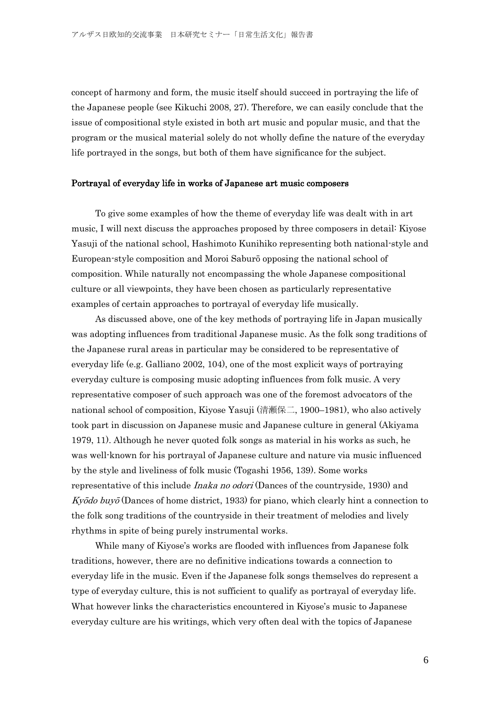concept of harmony and form, the music itself should succeed in portraying the life of the Japanese people (see Kikuchi 2008, 27). Therefore, we can easily conclude that the issue of compositional style existed in both art music and popular music, and that the program or the musical material solely do not wholly define the nature of the everyday life portrayed in the songs, but both of them have significance for the subject.

#### Portrayal of everyday life in works of Japanese art music composers

To give some examples of how the theme of everyday life was dealt with in art music, I will next discuss the approaches proposed by three composers in detail: Kiyose Yasuji of the national school, Hashimoto Kunihiko representing both national-style and European-style composition and Moroi Saburō opposing the national school of composition. While naturally not encompassing the whole Japanese compositional culture or all viewpoints, they have been chosen as particularly representative examples of certain approaches to portrayal of everyday life musically.

As discussed above, one of the key methods of portraying life in Japan musically was adopting influences from traditional Japanese music. As the folk song traditions of the Japanese rural areas in particular may be considered to be representative of everyday life (e.g. Galliano 2002, 104), one of the most explicit ways of portraying everyday culture is composing music adopting influences from folk music. A very representative composer of such approach was one of the foremost advocators of the national school of composition, Kiyose Yasuji (清瀬保二, 1900–1981), who also actively took part in discussion on Japanese music and Japanese culture in general (Akiyama 1979, 11). Although he never quoted folk songs as material in his works as such, he was well-known for his portrayal of Japanese culture and nature via music influenced by the style and liveliness of folk music (Togashi 1956, 139). Some works representative of this include *Inaka no odori* (Dances of the countryside, 1930) and  $Ky\bar{o}do buy\bar{o}$  (Dances of home district, 1933) for piano, which clearly hint a connection to the folk song traditions of the countryside in their treatment of melodies and lively rhythms in spite of being purely instrumental works.

While many of Kiyose's works are flooded with influences from Japanese folk traditions, however, there are no definitive indications towards a connection to everyday life in the music. Even if the Japanese folk songs themselves do represent a type of everyday culture, this is not sufficient to qualify as portrayal of everyday life. What however links the characteristics encountered in Kiyose's music to Japanese everyday culture are his writings, which very often deal with the topics of Japanese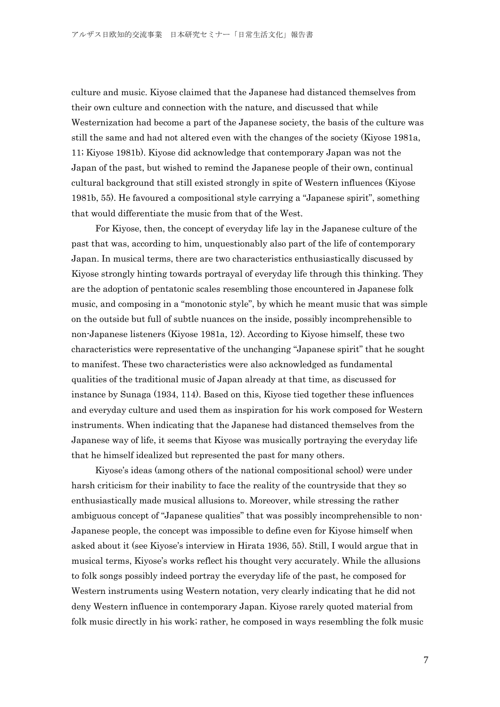culture and music. Kiyose claimed that the Japanese had distanced themselves from their own culture and connection with the nature, and discussed that while Westernization had become a part of the Japanese society, the basis of the culture was still the same and had not altered even with the changes of the society (Kiyose 1981a, 11; Kiyose 1981b). Kiyose did acknowledge that contemporary Japan was not the Japan of the past, but wished to remind the Japanese people of their own, continual cultural background that still existed strongly in spite of Western influences (Kiyose 1981b, 55). He favoured a compositional style carrying a "Japanese spirit", something that would differentiate the music from that of the West.

For Kiyose, then, the concept of everyday life lay in the Japanese culture of the past that was, according to him, unquestionably also part of the life of contemporary Japan. In musical terms, there are two characteristics enthusiastically discussed by Kiyose strongly hinting towards portrayal of everyday life through this thinking. They are the adoption of pentatonic scales resembling those encountered in Japanese folk music, and composing in a "monotonic style", by which he meant music that was simple on the outside but full of subtle nuances on the inside, possibly incomprehensible to non-Japanese listeners (Kiyose 1981a, 12). According to Kiyose himself, these two characteristics were representative of the unchanging "Japanese spirit" that he sought to manifest. These two characteristics were also acknowledged as fundamental qualities of the traditional music of Japan already at that time, as discussed for instance by Sunaga (1934, 114). Based on this, Kiyose tied together these influences and everyday culture and used them as inspiration for his work composed for Western instruments. When indicating that the Japanese had distanced themselves from the Japanese way of life, it seems that Kiyose was musically portraying the everyday life that he himself idealized but represented the past for many others.

Kiyose's ideas (among others of the national compositional school) were under harsh criticism for their inability to face the reality of the countryside that they so enthusiastically made musical allusions to. Moreover, while stressing the rather ambiguous concept of "Japanese qualities" that was possibly incomprehensible to non-Japanese people, the concept was impossible to define even for Kiyose himself when asked about it (see Kiyose's interview in Hirata 1936, 55). Still, I would argue that in musical terms, Kiyose's works reflect his thought very accurately. While the allusions to folk songs possibly indeed portray the everyday life of the past, he composed for Western instruments using Western notation, very clearly indicating that he did not deny Western influence in contemporary Japan. Kiyose rarely quoted material from folk music directly in his work; rather, he composed in ways resembling the folk music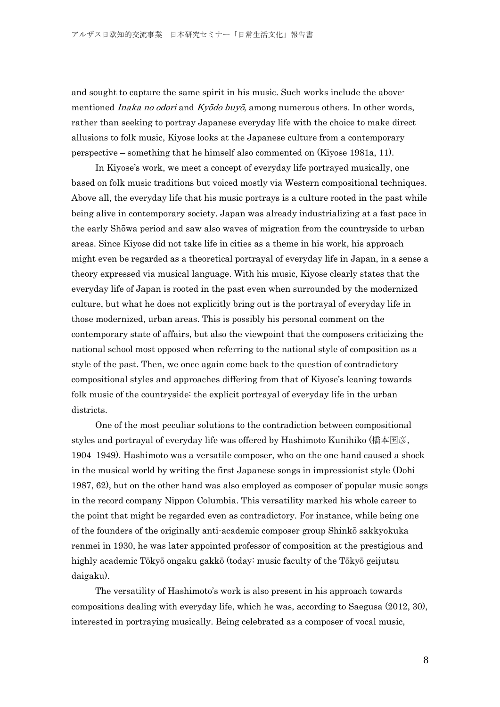and sought to capture the same spirit in his music. Such works include the abovementioned *Inaka no odori* and  $Ky\bar{o}do buy\bar{o}$ , among numerous others. In other words, rather than seeking to portray Japanese everyday life with the choice to make direct allusions to folk music, Kiyose looks at the Japanese culture from a contemporary perspective – something that he himself also commented on (Kiyose 1981a, 11).

In Kiyose's work, we meet a concept of everyday life portrayed musically, one based on folk music traditions but voiced mostly via Western compositional techniques. Above all, the everyday life that his music portrays is a culture rooted in the past while being alive in contemporary society. Japan was already industrializing at a fast pace in the early Shōwa period and saw also waves of migration from the countryside to urban areas. Since Kiyose did not take life in cities as a theme in his work, his approach might even be regarded as a theoretical portrayal of everyday life in Japan, in a sense a theory expressed via musical language. With his music, Kiyose clearly states that the everyday life of Japan is rooted in the past even when surrounded by the modernized culture, but what he does not explicitly bring out is the portrayal of everyday life in those modernized, urban areas. This is possibly his personal comment on the contemporary state of affairs, but also the viewpoint that the composers criticizing the national school most opposed when referring to the national style of composition as a style of the past. Then, we once again come back to the question of contradictory compositional styles and approaches differing from that of Kiyose's leaning towards folk music of the countryside: the explicit portrayal of everyday life in the urban districts.

One of the most peculiar solutions to the contradiction between compositional styles and portrayal of everyday life was offered by Hashimoto Kunihiko (橋本国彦, 1904–1949). Hashimoto was a versatile composer, who on the one hand caused a shock in the musical world by writing the first Japanese songs in impressionist style (Dohi 1987, 62), but on the other hand was also employed as composer of popular music songs in the record company Nippon Columbia. This versatility marked his whole career to the point that might be regarded even as contradictory. For instance, while being one of the founders of the originally anti-academic composer group Shinkō sakkyokuka renmei in 1930, he was later appointed professor of composition at the prestigious and highly academic Tōkyō ongaku gakkō (today: music faculty of the Tōkyō geijutsu daigaku).

The versatility of Hashimoto's work is also present in his approach towards compositions dealing with everyday life, which he was, according to Saegusa (2012, 30), interested in portraying musically. Being celebrated as a composer of vocal music,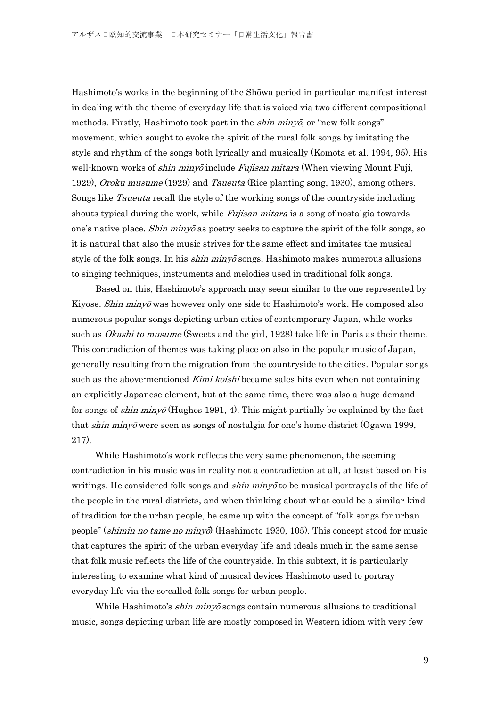Hashimoto's works in the beginning of the Shōwa period in particular manifest interest in dealing with the theme of everyday life that is voiced via two different compositional methods. Firstly, Hashimoto took part in the *shin minyō*, or "new folk songs" movement, which sought to evoke the spirit of the rural folk songs by imitating the style and rhythm of the songs both lyrically and musically (Komota et al. 1994, 95). His well-known works of *shin minyō* include *Fujisan mitara* (When viewing Mount Fuji, 1929), Oroku musume (1929) and Taueuta (Rice planting song, 1930), among others. Songs like Taueuta recall the style of the working songs of the countryside including shouts typical during the work, while *Fujisan mitara* is a song of nostalgia towards one's native place. Shin  $\dot{m}$  minyo as poetry seeks to capture the spirit of the folk songs, so it is natural that also the music strives for the same effect and imitates the musical style of the folk songs. In his *shin minyo* songs, Hashimoto makes numerous allusions to singing techniques, instruments and melodies used in traditional folk songs.

Based on this, Hashimoto's approach may seem similar to the one represented by Kiyose. *Shin minyō* was however only one side to Hashimoto's work. He composed also numerous popular songs depicting urban cities of contemporary Japan, while works such as *Okashi to musume* (Sweets and the girl, 1928) take life in Paris as their theme. This contradiction of themes was taking place on also in the popular music of Japan, generally resulting from the migration from the countryside to the cities. Popular songs such as the above-mentioned Kimi koishi became sales hits even when not containing an explicitly Japanese element, but at the same time, there was also a huge demand for songs of *shin minyō* (Hughes 1991, 4). This might partially be explained by the fact that *shin minyō* were seen as songs of nostalgia for one's home district (Ogawa 1999, 217).

While Hashimoto's work reflects the very same phenomenon, the seeming contradiction in his music was in reality not a contradiction at all, at least based on his writings. He considered folk songs and *shin minyo* to be musical portrayals of the life of the people in the rural districts, and when thinking about what could be a similar kind of tradition for the urban people, he came up with the concept of "folk songs for urban people" (shimin no tame no minyō) (Hashimoto 1930, 105). This concept stood for music that captures the spirit of the urban everyday life and ideals much in the same sense that folk music reflects the life of the countryside. In this subtext, it is particularly interesting to examine what kind of musical devices Hashimoto used to portray everyday life via the so-called folk songs for urban people.

While Hashimoto's *shin minyō* songs contain numerous allusions to traditional music, songs depicting urban life are mostly composed in Western idiom with very few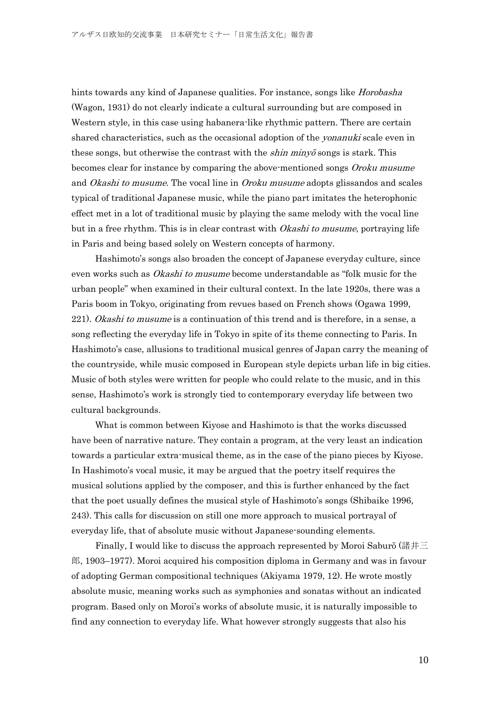hints towards any kind of Japanese qualities. For instance, songs like *Horobasha* (Wagon, 1931) do not clearly indicate a cultural surrounding but are composed in Western style, in this case using habanera-like rhythmic pattern. There are certain shared characteristics, such as the occasional adoption of the *yonanuki* scale even in these songs, but otherwise the contrast with the *shin minyo* songs is stark. This becomes clear for instance by comparing the above-mentioned songs Oroku musume and *Okashi to musume*. The vocal line in *Oroku musume* adopts glissandos and scales typical of traditional Japanese music, while the piano part imitates the heterophonic effect met in a lot of traditional music by playing the same melody with the vocal line but in a free rhythm. This is in clear contrast with *Okashi to musume*, portraying life in Paris and being based solely on Western concepts of harmony.

Hashimoto's songs also broaden the concept of Japanese everyday culture, since even works such as *Okashi to musume* become understandable as "folk music for the urban people" when examined in their cultural context. In the late 1920s, there was a Paris boom in Tokyo, originating from revues based on French shows (Ogawa 1999, 221). Okashi to musume is a continuation of this trend and is therefore, in a sense, a song reflecting the everyday life in Tokyo in spite of its theme connecting to Paris. In Hashimoto's case, allusions to traditional musical genres of Japan carry the meaning of the countryside, while music composed in European style depicts urban life in big cities. Music of both styles were written for people who could relate to the music, and in this sense, Hashimoto's work is strongly tied to contemporary everyday life between two cultural backgrounds.

What is common between Kiyose and Hashimoto is that the works discussed have been of narrative nature. They contain a program, at the very least an indication towards a particular extra-musical theme, as in the case of the piano pieces by Kiyose. In Hashimoto's vocal music, it may be argued that the poetry itself requires the musical solutions applied by the composer, and this is further enhanced by the fact that the poet usually defines the musical style of Hashimoto's songs (Shibaike 1996, 243). This calls for discussion on still one more approach to musical portrayal of everyday life, that of absolute music without Japanese-sounding elements.

Finally, I would like to discuss the approach represented by Moroi Saburō (諸井三 郎, 1903–1977). Moroi acquired his composition diploma in Germany and was in favour of adopting German compositional techniques (Akiyama 1979, 12). He wrote mostly absolute music, meaning works such as symphonies and sonatas without an indicated program. Based only on Moroi's works of absolute music, it is naturally impossible to find any connection to everyday life. What however strongly suggests that also his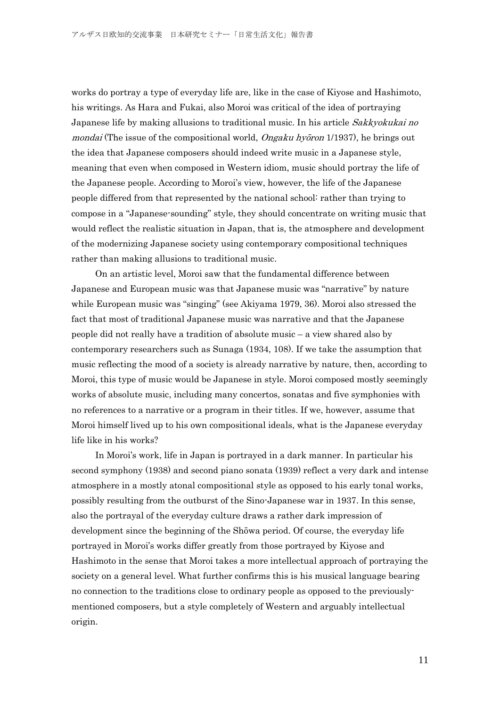works do portray a type of everyday life are, like in the case of Kiyose and Hashimoto, his writings. As Hara and Fukai, also Moroi was critical of the idea of portraying Japanese life by making allusions to traditional music. In his article Sakkyokukai no mondai (The issue of the compositional world, *Ongaku hyōron* 1/1937), he brings out the idea that Japanese composers should indeed write music in a Japanese style, meaning that even when composed in Western idiom, music should portray the life of the Japanese people. According to Moroi's view, however, the life of the Japanese people differed from that represented by the national school: rather than trying to compose in a "Japanese-sounding" style, they should concentrate on writing music that would reflect the realistic situation in Japan, that is, the atmosphere and development of the modernizing Japanese society using contemporary compositional techniques rather than making allusions to traditional music.

On an artistic level, Moroi saw that the fundamental difference between Japanese and European music was that Japanese music was "narrative" by nature while European music was "singing" (see Akiyama 1979, 36). Moroi also stressed the fact that most of traditional Japanese music was narrative and that the Japanese people did not really have a tradition of absolute music – a view shared also by contemporary researchers such as Sunaga (1934, 108). If we take the assumption that music reflecting the mood of a society is already narrative by nature, then, according to Moroi, this type of music would be Japanese in style. Moroi composed mostly seemingly works of absolute music, including many concertos, sonatas and five symphonies with no references to a narrative or a program in their titles. If we, however, assume that Moroi himself lived up to his own compositional ideals, what is the Japanese everyday life like in his works?

In Moroi's work, life in Japan is portrayed in a dark manner. In particular his second symphony (1938) and second piano sonata (1939) reflect a very dark and intense atmosphere in a mostly atonal compositional style as opposed to his early tonal works, possibly resulting from the outburst of the Sino-Japanese war in 1937. In this sense, also the portrayal of the everyday culture draws a rather dark impression of development since the beginning of the Shōwa period. Of course, the everyday life portrayed in Moroi's works differ greatly from those portrayed by Kiyose and Hashimoto in the sense that Moroi takes a more intellectual approach of portraying the society on a general level. What further confirms this is his musical language bearing no connection to the traditions close to ordinary people as opposed to the previouslymentioned composers, but a style completely of Western and arguably intellectual origin.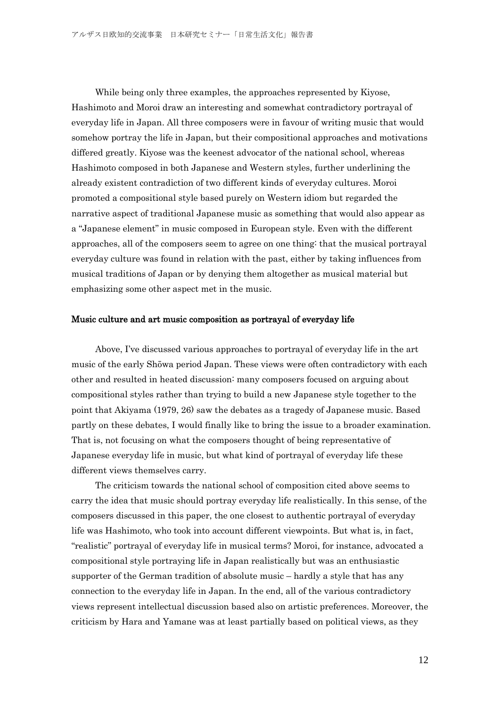While being only three examples, the approaches represented by Kiyose, Hashimoto and Moroi draw an interesting and somewhat contradictory portrayal of everyday life in Japan. All three composers were in favour of writing music that would somehow portray the life in Japan, but their compositional approaches and motivations differed greatly. Kiyose was the keenest advocator of the national school, whereas Hashimoto composed in both Japanese and Western styles, further underlining the already existent contradiction of two different kinds of everyday cultures. Moroi promoted a compositional style based purely on Western idiom but regarded the narrative aspect of traditional Japanese music as something that would also appear as a "Japanese element" in music composed in European style. Even with the different approaches, all of the composers seem to agree on one thing: that the musical portrayal everyday culture was found in relation with the past, either by taking influences from musical traditions of Japan or by denying them altogether as musical material but emphasizing some other aspect met in the music.

#### Music culture and art music composition as portrayal of everyday life

Above, I've discussed various approaches to portrayal of everyday life in the art music of the early Shōwa period Japan. These views were often contradictory with each other and resulted in heated discussion: many composers focused on arguing about compositional styles rather than trying to build a new Japanese style together to the point that Akiyama (1979, 26) saw the debates as a tragedy of Japanese music. Based partly on these debates, I would finally like to bring the issue to a broader examination. That is, not focusing on what the composers thought of being representative of Japanese everyday life in music, but what kind of portrayal of everyday life these different views themselves carry.

The criticism towards the national school of composition cited above seems to carry the idea that music should portray everyday life realistically. In this sense, of the composers discussed in this paper, the one closest to authentic portrayal of everyday life was Hashimoto, who took into account different viewpoints. But what is, in fact, "realistic" portrayal of everyday life in musical terms? Moroi, for instance, advocated a compositional style portraying life in Japan realistically but was an enthusiastic supporter of the German tradition of absolute music – hardly a style that has any connection to the everyday life in Japan. In the end, all of the various contradictory views represent intellectual discussion based also on artistic preferences. Moreover, the criticism by Hara and Yamane was at least partially based on political views, as they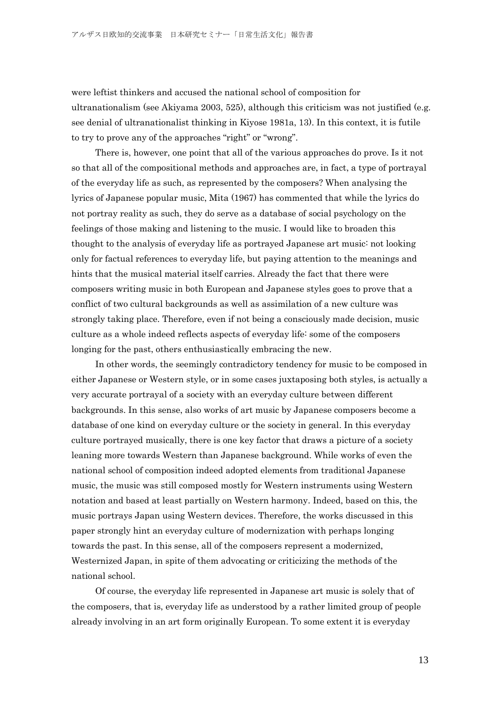were leftist thinkers and accused the national school of composition for ultranationalism (see Akiyama 2003, 525), although this criticism was not justified (e.g. see denial of ultranationalist thinking in Kiyose 1981a, 13). In this context, it is futile to try to prove any of the approaches "right" or "wrong".

There is, however, one point that all of the various approaches do prove. Is it not so that all of the compositional methods and approaches are, in fact, a type of portrayal of the everyday life as such, as represented by the composers? When analysing the lyrics of Japanese popular music, Mita (1967) has commented that while the lyrics do not portray reality as such, they do serve as a database of social psychology on the feelings of those making and listening to the music. I would like to broaden this thought to the analysis of everyday life as portrayed Japanese art music: not looking only for factual references to everyday life, but paying attention to the meanings and hints that the musical material itself carries. Already the fact that there were composers writing music in both European and Japanese styles goes to prove that a conflict of two cultural backgrounds as well as assimilation of a new culture was strongly taking place. Therefore, even if not being a consciously made decision, music culture as a whole indeed reflects aspects of everyday life: some of the composers longing for the past, others enthusiastically embracing the new.

In other words, the seemingly contradictory tendency for music to be composed in either Japanese or Western style, or in some cases juxtaposing both styles, is actually a very accurate portrayal of a society with an everyday culture between different backgrounds. In this sense, also works of art music by Japanese composers become a database of one kind on everyday culture or the society in general. In this everyday culture portrayed musically, there is one key factor that draws a picture of a society leaning more towards Western than Japanese background. While works of even the national school of composition indeed adopted elements from traditional Japanese music, the music was still composed mostly for Western instruments using Western notation and based at least partially on Western harmony. Indeed, based on this, the music portrays Japan using Western devices. Therefore, the works discussed in this paper strongly hint an everyday culture of modernization with perhaps longing towards the past. In this sense, all of the composers represent a modernized, Westernized Japan, in spite of them advocating or criticizing the methods of the national school.

Of course, the everyday life represented in Japanese art music is solely that of the composers, that is, everyday life as understood by a rather limited group of people already involving in an art form originally European. To some extent it is everyday

13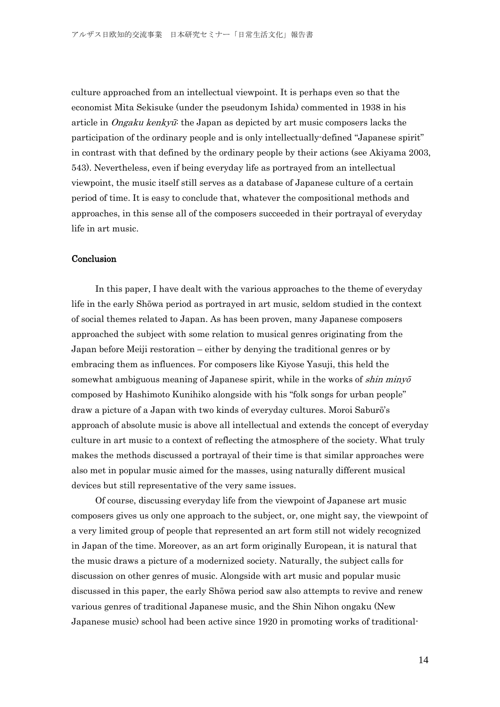culture approached from an intellectual viewpoint. It is perhaps even so that the economist Mita Sekisuke (under the pseudonym Ishida) commented in 1938 in his article in *Ongaku kenkyū*: the Japan as depicted by art music composers lacks the participation of the ordinary people and is only intellectually-defined "Japanese spirit" in contrast with that defined by the ordinary people by their actions (see Akiyama 2003, 543). Nevertheless, even if being everyday life as portrayed from an intellectual viewpoint, the music itself still serves as a database of Japanese culture of a certain period of time. It is easy to conclude that, whatever the compositional methods and approaches, in this sense all of the composers succeeded in their portrayal of everyday life in art music.

### Conclusion

In this paper, I have dealt with the various approaches to the theme of everyday life in the early Shōwa period as portrayed in art music, seldom studied in the context of social themes related to Japan. As has been proven, many Japanese composers approached the subject with some relation to musical genres originating from the Japan before Meiji restoration – either by denying the traditional genres or by embracing them as influences. For composers like Kiyose Yasuji, this held the somewhat ambiguous meaning of Japanese spirit, while in the works of *shin minyo* composed by Hashimoto Kunihiko alongside with his "folk songs for urban people" draw a picture of a Japan with two kinds of everyday cultures. Moroi Saburō's approach of absolute music is above all intellectual and extends the concept of everyday culture in art music to a context of reflecting the atmosphere of the society. What truly makes the methods discussed a portrayal of their time is that similar approaches were also met in popular music aimed for the masses, using naturally different musical devices but still representative of the very same issues.

Of course, discussing everyday life from the viewpoint of Japanese art music composers gives us only one approach to the subject, or, one might say, the viewpoint of a very limited group of people that represented an art form still not widely recognized in Japan of the time. Moreover, as an art form originally European, it is natural that the music draws a picture of a modernized society. Naturally, the subject calls for discussion on other genres of music. Alongside with art music and popular music discussed in this paper, the early Shōwa period saw also attempts to revive and renew various genres of traditional Japanese music, and the Shin Nihon ongaku (New Japanese music) school had been active since 1920 in promoting works of traditional-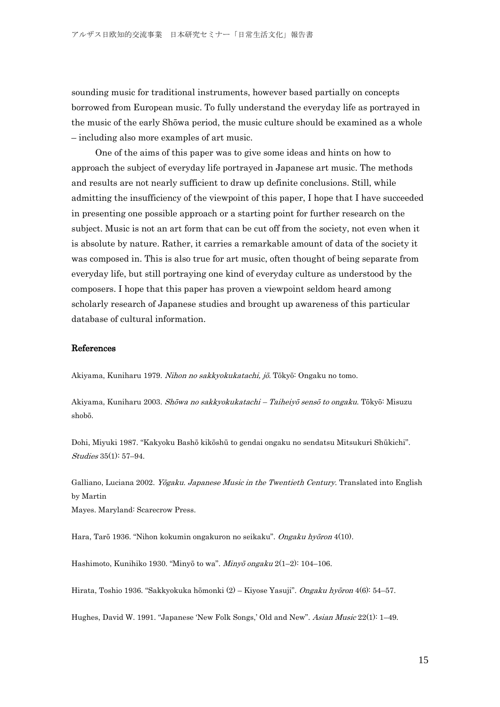sounding music for traditional instruments, however based partially on concepts borrowed from European music. To fully understand the everyday life as portrayed in the music of the early Shōwa period, the music culture should be examined as a whole – including also more examples of art music.

One of the aims of this paper was to give some ideas and hints on how to approach the subject of everyday life portrayed in Japanese art music. The methods and results are not nearly sufficient to draw up definite conclusions. Still, while admitting the insufficiency of the viewpoint of this paper, I hope that I have succeeded in presenting one possible approach or a starting point for further research on the subject. Music is not an art form that can be cut off from the society, not even when it is absolute by nature. Rather, it carries a remarkable amount of data of the society it was composed in. This is also true for art music, often thought of being separate from everyday life, but still portraying one kind of everyday culture as understood by the composers. I hope that this paper has proven a viewpoint seldom heard among scholarly research of Japanese studies and brought up awareness of this particular database of cultural information.

#### References

Akiyama, Kuniharu 1979. Nihon no sakkyokukatachi, jō. Tōkyō: Ongaku no tomo.

Akiyama, Kuniharu 2003. Shōwa no sakkyokukatachi – Taiheiyō sensō to ongaku. Tōkyō: Misuzu shobō.

Dohi, Miyuki 1987. "Kakyoku Bashō kikōshū to gendai ongaku no sendatsu Mitsukuri Shūkichi". Studies 35(1): 57–94.

Galliano, Luciana 2002. Yōgaku. Japanese Music in the Twentieth Century. Translated into English by Martin Mayes. Maryland: Scarecrow Press.

Hara, Tarō 1936. "Nihon kokumin ongakuron no seikaku". Ongaku hyōron 4(10).

Hashimoto, Kunihiko 1930. "Minyō to wa". Minyō ongaku 2(1–2): 104–106.

Hirata, Toshio 1936. "Sakkyokuka hōmonki (2) – Kiyose Yasuji". *Ongaku hyōron* 4(6): 54–57.

Hughes, David W. 1991. "Japanese 'New Folk Songs,' Old and New". Asian Music 22(1): 1–49.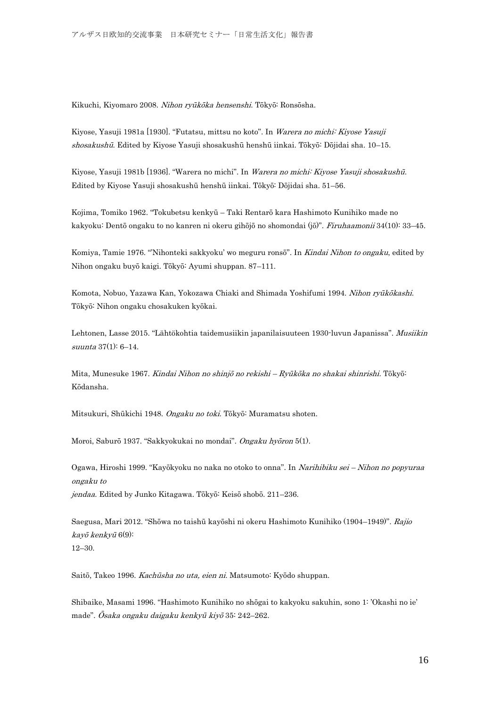Kikuchi, Kiyomaro 2008. Nihon ryūkōka hensenshi. Tōkyō: Ronsōsha.

Kiyose, Yasuji 1981a [1930]. "Futatsu, mittsu no koto". In Warera no michi: Kiyose Yasuji shosakushū. Edited by Kiyose Yasuji shosakushū henshū iinkai. Tōkyō: Dōjidai sha. 10-15.

Kiyose, Yasuji 1981b [1936]. "Warera no michi". In Warera no michi: Kiyose Yasuji shosakushū. Edited by Kiyose Yasuji shosakushū henshū iinkai. Tōkyō: Dōjidai sha. 51–56.

Kojima, Tomiko 1962. "Tokubetsu kenkyū – Taki Rentarō kara Hashimoto Kunihiko made no kakyoku: Dentō ongaku to no kanren ni okeru gihōjō no shomondai (jō)". Firuhaamonii 34(10): 33–45.

Komiya, Tamie 1976. "Nihonteki sakkyoku' wo meguru ronsō". In Kindai Nihon to ongaku, edited by Nihon ongaku buyō kaigi. Tōkyō: Ayumi shuppan. 87–111.

Komota, Nobuo, Yazawa Kan, Yokozawa Chiaki and Shimada Yoshifumi 1994. Nihon ryūkokashi. Tōkyō: Nihon ongaku chosakuken kyōkai.

Lehtonen, Lasse 2015. "Lähtökohtia taidemusiikin japanilaisuuteen 1930-luvun Japanissa". Musiikin suunta 37(1): 6–14.

Mita, Munesuke 1967. Kindai Nihon no shinjō no rekishi – Ryūkōka no shakai shinrishi. Tōkyō: Kōdansha.

Mitsukuri, Shūkichi 1948. Ongaku no toki. Tōkyō: Muramatsu shoten.

Moroi, Saburō 1937. "Sakkyokukai no mondai". Ongaku hyōron 5(1).

Ogawa, Hiroshi 1999. "Kayōkyoku no naka no otoko to onna". In Narihibiku sei – Nihon no popyuraa ongaku to jendaa. Edited by Junko Kitagawa. Tōkyō: Keisō shobō. 211–236.

Saegusa, Mari 2012. "Shōwa no taishū kayōshi ni okeru Hashimoto Kunihiko (1904–1949)". Rajio kayō kenkyū 6(9): 12–30.

Saitō, Takeo 1996. Kachūsha no uta, eien ni. Matsumoto: Kyōdo shuppan.

Shibaike, Masami 1996. "Hashimoto Kunihiko no shōgai to kakyoku sakuhin, sono 1: 'Okashi no ie' made". Ōsaka ongaku daigaku kenkyū kiyō 35: 242–262.